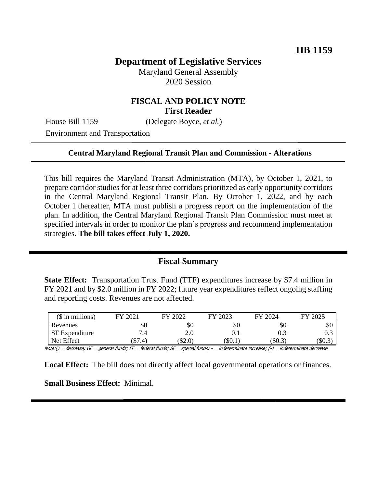# **Department of Legislative Services**

Maryland General Assembly 2020 Session

### **FISCAL AND POLICY NOTE First Reader**

House Bill 1159 (Delegate Boyce, *et al.*)

Environment and Transportation

#### **Central Maryland Regional Transit Plan and Commission - Alterations**

This bill requires the Maryland Transit Administration (MTA), by October 1, 2021, to prepare corridor studies for at least three corridors prioritized as early opportunity corridors in the Central Maryland Regional Transit Plan. By October 1, 2022, and by each October 1 thereafter, MTA must publish a progress report on the implementation of the plan. In addition, the Central Maryland Regional Transit Plan Commission must meet at specified intervals in order to monitor the plan's progress and recommend implementation strategies. **The bill takes effect July 1, 2020.**

### **Fiscal Summary**

**State Effect:** Transportation Trust Fund (TTF) expenditures increase by \$7.4 million in FY 2021 and by \$2.0 million in FY 2022; future year expenditures reflect ongoing staffing and reporting costs. Revenues are not affected.

| $($$ in millions)     | $202^{\circ}$<br>F١ | $202^{\circ}$<br>FУ | 2023<br>FV | 2024<br>FV | 2025<br>EV |
|-----------------------|---------------------|---------------------|------------|------------|------------|
| Revenues              | Y0                  | УU                  | \$0        | \$0        | \$0        |
| <b>SF</b> Expenditure | ٠.                  | າເ<br>z.u           |            | 0.3        | 0.3        |
| Net Effect            | (7.4)<br>Φ.         | $\$2.0$             | $\$0.1$    | $\$0.3$    | \$0.3      |

Note:() = decrease; GF = general funds; FF = federal funds; SF = special funds; - = indeterminate increase; (-) = indeterminate decrease

**Local Effect:** The bill does not directly affect local governmental operations or finances.

**Small Business Effect:** Minimal.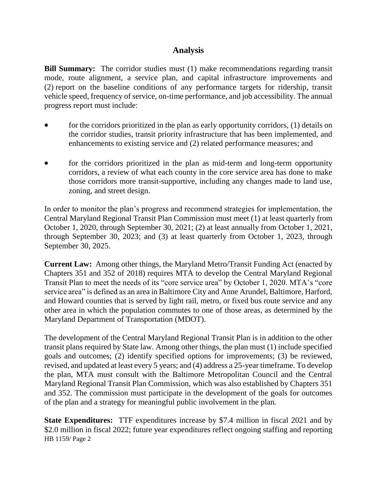## **Analysis**

**Bill Summary:** The corridor studies must (1) make recommendations regarding transit mode, route alignment, a service plan, and capital infrastructure improvements and (2) report on the baseline conditions of any performance targets for ridership, transit vehicle speed, frequency of service, on-time performance, and job accessibility. The annual progress report must include:

- for the corridors prioritized in the plan as early opportunity corridors, (1) details on the corridor studies, transit priority infrastructure that has been implemented, and enhancements to existing service and (2) related performance measures; and
- for the corridors prioritized in the plan as mid-term and long-term opportunity corridors, a review of what each county in the core service area has done to make those corridors more transit-supportive, including any changes made to land use, zoning, and street design.

In order to monitor the plan's progress and recommend strategies for implementation, the Central Maryland Regional Transit Plan Commission must meet (1) at least quarterly from October 1, 2020, through September 30, 2021; (2) at least annually from October 1, 2021, through September 30, 2023; and (3) at least quarterly from October 1, 2023, through September 30, 2025.

**Current Law:** Among other things, the Maryland Metro/Transit Funding Act (enacted by Chapters 351 and 352 of 2018) requires MTA to develop the Central Maryland Regional Transit Plan to meet the needs of its "core service area" by October 1, 2020. MTA's "core service area" is defined as an area in Baltimore City and Anne Arundel, Baltimore, Harford, and Howard counties that is served by light rail, metro, or fixed bus route service and any other area in which the population commutes to one of those areas, as determined by the Maryland Department of Transportation (MDOT).

The development of the Central Maryland Regional Transit Plan is in addition to the other transit plans required by State law. Among other things, the plan must (1) include specified goals and outcomes; (2) identify specified options for improvements; (3) be reviewed, revised, and updated at least every 5 years; and (4) address a 25-year timeframe. To develop the plan, MTA must consult with the Baltimore Metropolitan Council and the Central Maryland Regional Transit Plan Commission, which was also established by Chapters 351 and 352. The commission must participate in the development of the goals for outcomes of the plan and a strategy for meaningful public involvement in the plan.

HB 1159/ Page 2 **State Expenditures:** TTF expenditures increase by \$7.4 million in fiscal 2021 and by \$2.0 million in fiscal 2022; future year expenditures reflect ongoing staffing and reporting